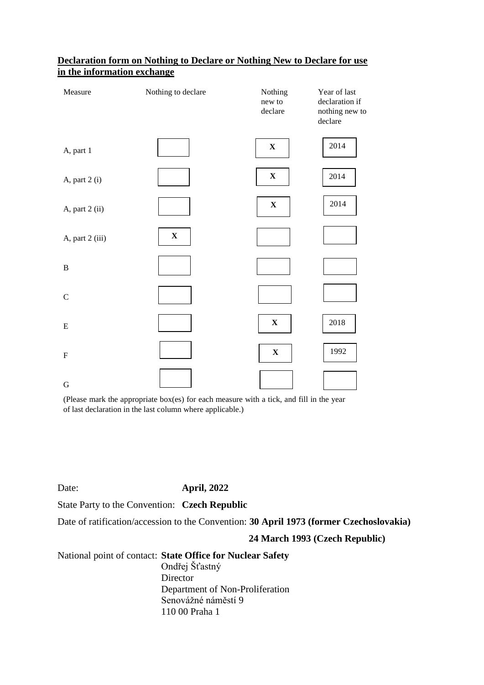| Measure         | Nothing to declare        | Nothing<br>new to<br>declare | Year of last<br>declaration if<br>nothing new to<br>declare |
|-----------------|---------------------------|------------------------------|-------------------------------------------------------------|
| A, part 1       |                           | $\mathbf X$                  | 2014                                                        |
| A, part 2 (i)   |                           | $\mathbf X$                  | 2014                                                        |
| A, part 2 (ii)  |                           | $\mathbf X$                  | 2014                                                        |
| A, part 2 (iii) | $\boldsymbol{\mathrm{X}}$ |                              |                                                             |
| $\, {\bf B}$    |                           |                              |                                                             |
| $\mathsf C$     |                           |                              |                                                             |
| ${\bf E}$       |                           | $\mathbf X$                  | 2018                                                        |
| ${\bf F}$       |                           | $\mathbf X$                  | 1992                                                        |
| ${\bf G}$       |                           |                              |                                                             |

### **Declaration form on Nothing to Declare or Nothing New to Declare for use in the information exchange**

(Please mark the appropriate box(es) for each measure with a tick, and fill in the year of last declaration in the last column where applicable.)

## Date: **April, 2022**

State Party to the Convention: **Czech Republic**

Date of ratification/accession to the Convention: **30 April 1973 (former Czechoslovakia)**

### **24 March 1993 (Czech Republic)**

### National point of contact: **State Office for Nuclear Safety**

Ondřej Šťastný **Director** Department of Non-Proliferation Senovážné náměstí 9 110 00 Praha 1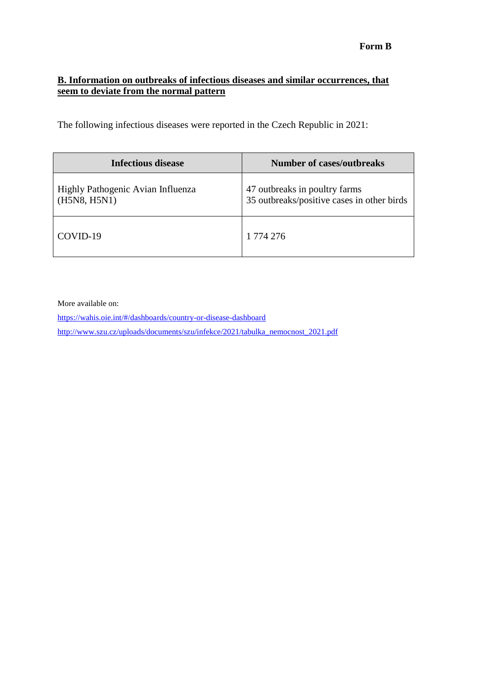# **B. Information on outbreaks of infectious diseases and similar occurrences, that seem to deviate from the normal pattern**

The following infectious diseases were reported in the Czech Republic in 2021:

| <b>Infectious disease</b>                         | <b>Number of cases/outbreaks</b>                                            |
|---------------------------------------------------|-----------------------------------------------------------------------------|
| Highly Pathogenic Avian Influenza<br>(H5N8, H5N1) | 47 outbreaks in poultry farms<br>35 outbreaks/positive cases in other birds |
| COVID-19                                          | 1 774 276                                                                   |

More available on:

<https://wahis.oie.int/#/dashboards/country-or-disease-dashboard> [http://www.szu.cz/uploads/documents/szu/infekce/2021/tabulka\\_nemocnost\\_2021.pdf](http://www.szu.cz/uploads/documents/szu/infekce/2021/tabulka_nemocnost_2021.pdf)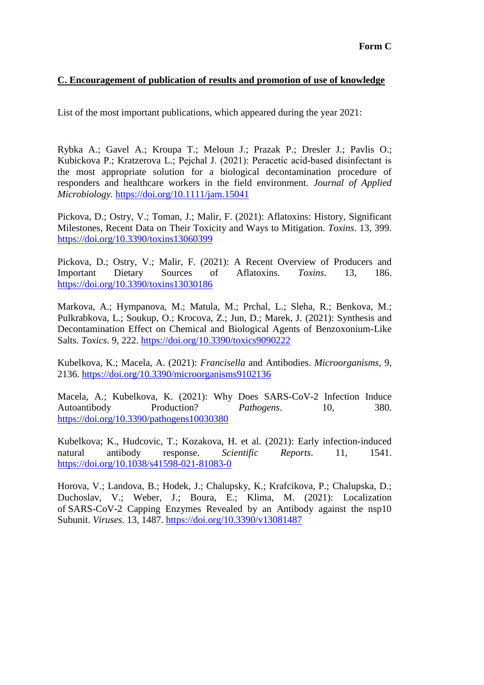### **C. Encouragement of publication of results and promotion of use of knowledge**

List of the most important publications, which appeared during the year 2021:

Rybka A.; Gavel A.; Kroupa T.; Meloun J.; Prazak P.; Dresler J.; Pavlis O.; Kubickova P.; Kratzerova L.; Pejchal J. (2021): Peracetic acid‐based disinfectant is the most appropriate solution for a biological decontamination procedure of responders and healthcare workers in the field environment. *Journal of Applied Microbiology.* <https://doi.org/10.1111/jam.15041>

Pickova, D.; Ostry, V.; Toman, J.; Malir, F. (2021): Aflatoxins: History, Significant Milestones, Recent Data on Their Toxicity and Ways to Mitigation. *Toxins*. 13, 399. <https://doi.org/10.3390/toxins13060399>

Pickova, D.; Ostry, V.; Malir, F. (2021): A Recent Overview of Producers and Important Dietary Sources of Aflatoxins. *Toxins*. 13, 186. <https://doi.org/10.3390/toxins13030186>

Markova, A.; Hympanova, M.; Matula, M.; Prchal, L.; Sleha, R.; Benkova, M.; Pulkrabkova, L.; Soukup, O.; Krocova, Z.; Jun, D.; Marek, J. (2021): Synthesis and Decontamination Effect on Chemical and Biological Agents of Benzoxonium-Like Salts. *Toxics*. 9, 222.<https://doi.org/10.3390/toxics9090222>

Kubelkova, K.; Macela, A. (2021): *Francisella* and Antibodies. *Microorganisms*, 9, 2136.<https://doi.org/10.3390/microorganisms9102136>

Macela, A.; Kubelkova, K. (2021): Why Does SARS-CoV-2 Infection Induce Autoantibody **Production?** *Pathogens*. 10, 380. <https://doi.org/10.3390/pathogens10030380>

Kubelkova; K., Hudcovic, T.; Kozakova, H. et al. (2021): Early infection-induced natural antibody response. *Scientific Reports*. 11, 1541. <https://doi.org/10.1038/s41598-021-81083-0>

Horova, V.; Landova, B.; Hodek, J.; Chalupsky, K.; Krafcikova, P.; Chalupska, D.; Duchoslav, V.; Weber, J.; Boura, E.; Klima, M. (2021): Localization of SARS-CoV-2 Capping Enzymes Revealed by an Antibody against the nsp10 Subunit. *Viruses*. 13, 1487.<https://doi.org/10.3390/v13081487>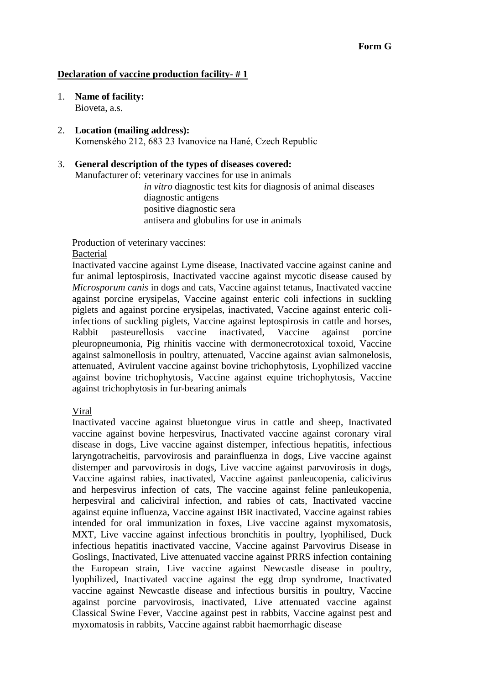#### **Declaration of vaccine production facility- # 1**

- 1. **Name of facility:**  Bioveta, a.s.
- 2. **Location (mailing address):**  Komenského 212, 683 23 Ivanovice na Hané, Czech Republic

## 3. **General description of the types of diseases covered:**

Manufacturer of: veterinary vaccines for use in animals

*in vitro* diagnostic test kits for diagnosis of animal diseases diagnostic antigens positive diagnostic sera antisera and globulins for use in animals

Production of veterinary vaccines:

### Bacterial

Inactivated vaccine against Lyme disease, Inactivated vaccine against canine and fur animal leptospirosis, Inactivated vaccine against mycotic disease caused by *Microsporum canis* in dogs and cats, Vaccine against tetanus, Inactivated vaccine against porcine erysipelas, Vaccine against enteric coli infections in suckling piglets and against porcine erysipelas, inactivated, Vaccine against enteric coliinfections of suckling piglets, Vaccine against leptospirosis in cattle and horses, Rabbit pasteurellosis vaccine inactivated, Vaccine against porcine pleuropneumonia, Pig rhinitis vaccine with dermonecrotoxical toxoid, Vaccine against salmonellosis in poultry, attenuated, Vaccine against avian salmonelosis, attenuated, Avirulent vaccine against bovine trichophytosis, Lyophilized vaccine against bovine trichophytosis, Vaccine against equine trichophytosis, Vaccine against trichophytosis in fur-bearing animals

Viral

Inactivated vaccine against bluetongue virus in cattle and sheep, Inactivated vaccine against bovine herpesvirus, Inactivated vaccine against coronary viral disease in dogs, Live vaccine against distemper, infectious hepatitis, infectious laryngotracheitis, parvovirosis and parainfluenza in dogs, Live vaccine against distemper and parvovirosis in dogs, Live vaccine against parvovirosis in dogs, Vaccine against rabies, inactivated, Vaccine against panleucopenia, calicivirus and herpesvirus infection of cats, The vaccine against feline panleukopenia, herpesviral and caliciviral infection, and rabies of cats, Inactivated vaccine against equine influenza, Vaccine against IBR inactivated, Vaccine against rabies intended for oral immunization in foxes, Live vaccine against myxomatosis, MXT, Live vaccine against infectious bronchitis in poultry, lyophilised, Duck infectious hepatitis inactivated vaccine, Vaccine against Parvovirus Disease in Goslings, Inactivated, Live attenuated vaccine against PRRS infection containing the European strain, Live vaccine against Newcastle disease in poultry, lyophilized, Inactivated vaccine against the egg drop syndrome, Inactivated vaccine against Newcastle disease and infectious bursitis in poultry, Vaccine against porcine parvovirosis, inactivated, Live attenuated vaccine against Classical Swine Fever, Vaccine against pest in rabbits, Vaccine against pest and myxomatosis in rabbits, Vaccine against rabbit haemorrhagic disease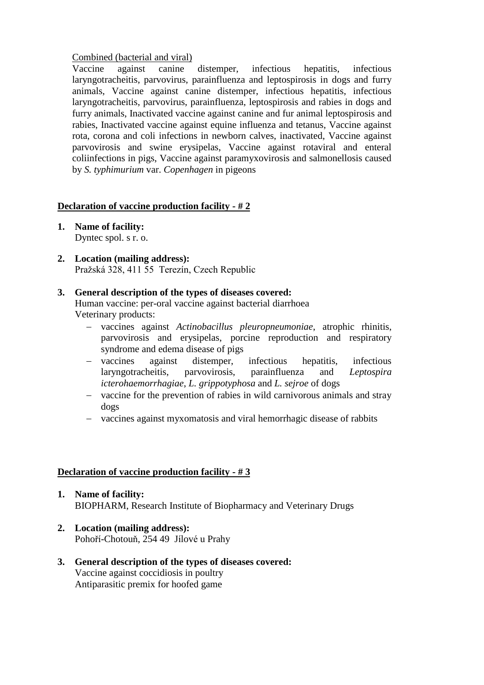### Combined (bacterial and viral)

Vaccine against canine distemper, infectious hepatitis, infectious laryngotracheitis, parvovirus, parainfluenza and leptospirosis in dogs and furry animals, Vaccine against canine distemper, infectious hepatitis, infectious laryngotracheitis, parvovirus, parainfluenza, leptospirosis and rabies in dogs and furry animals, Inactivated vaccine against canine and fur animal leptospirosis and rabies, Inactivated vaccine against equine influenza and tetanus, Vaccine against rota, corona and coli infections in newborn calves, inactivated, Vaccine against parvovirosis and swine erysipelas, Vaccine against rotaviral and enteral coliinfections in pigs, Vaccine against paramyxovirosis and salmonellosis caused by *S. typhimurium* var. *Copenhagen* in pigeons

### **Declaration of vaccine production facility - # 2**

- **1. Name of facility:** Dyntec spol. s r. o.
- **2. Location (mailing address):** Pražská 328, 411 55 Terezín, Czech Republic

#### **3. General description of the types of diseases covered:**

Human vaccine: per-oral vaccine against bacterial diarrhoea Veterinary products:

- vaccines against *Actinobacillus pleuropneumoniae*, atrophic rhinitis, parvovirosis and erysipelas, porcine reproduction and respiratory syndrome and edema disease of pigs
- vaccines against distemper, infectious hepatitis, infectious laryngotracheitis, parvovirosis, parainfluenza and *Leptospira icterohaemorrhagiae*, *L. grippotyphosa* and *L. sejroe* of dogs
- vaccine for the prevention of rabies in wild carnivorous animals and stray dogs
- vaccines against myxomatosis and viral hemorrhagic disease of rabbits

#### **Declaration of vaccine production facility - # 3**

- **1. Name of facility:** BIOPHARM, Research Institute of Biopharmacy and Veterinary Drugs
- **2. Location (mailing address):** Pohoří-Chotouň, 254 49 Jílové u Prahy

#### **3. General description of the types of diseases covered:** Vaccine against coccidiosis in poultry Antiparasitic premix for hoofed game